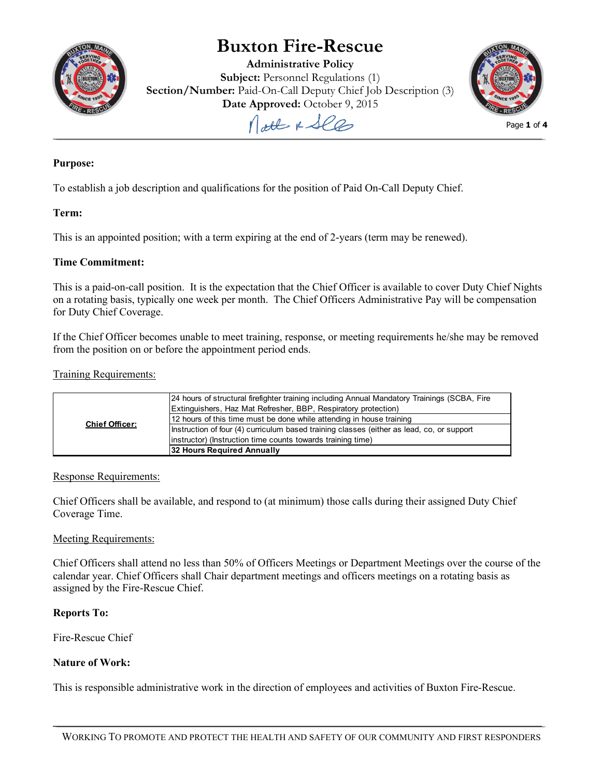

# **Buxton Fire-Rescue**

**Administrative Policy Subject:** Personnel Regulations (1) **Section/Number:** Paid-On-Call Deputy Chief Job Description (3) **Date Approved:** October 9, 2015

Nott & See



Page **1** of **4**

# **Purpose:**

To establish a job description and qualifications for the position of Paid On-Call Deputy Chief.

### **Term:**

This is an appointed position; with a term expiring at the end of 2-years (term may be renewed).

### **Time Commitment:**

This is a paid-on-call position. It is the expectation that the Chief Officer is available to cover Duty Chief Nights on a rotating basis, typically one week per month. The Chief Officers Administrative Pay will be compensation for Duty Chief Coverage.

If the Chief Officer becomes unable to meet training, response, or meeting requirements he/she may be removed from the position on or before the appointment period ends.

### Training Requirements:

| <b>Chief Officer:</b> | 24 hours of structural firefighter training including Annual Mandatory Trainings (SCBA, Fire<br>Extinguishers, Haz Mat Refresher, BBP, Respiratory protection) |
|-----------------------|----------------------------------------------------------------------------------------------------------------------------------------------------------------|
|                       | 12 hours of this time must be done while attending in house training                                                                                           |
|                       | Instruction of four (4) curriculum based training classes (either as lead, co, or support                                                                      |
|                       | (instructor) (Instruction time counts towards training time)                                                                                                   |
|                       | 32 Hours Required Annually                                                                                                                                     |

### Response Requirements:

Chief Officers shall be available, and respond to (at minimum) those calls during their assigned Duty Chief Coverage Time.

### Meeting Requirements:

Chief Officers shall attend no less than 50% of Officers Meetings or Department Meetings over the course of the calendar year. Chief Officers shall Chair department meetings and officers meetings on a rotating basis as assigned by the Fire-Rescue Chief.

### **Reports To:**

Fire-Rescue Chief

### **Nature of Work:**

This is responsible administrative work in the direction of employees and activities of Buxton Fire-Rescue.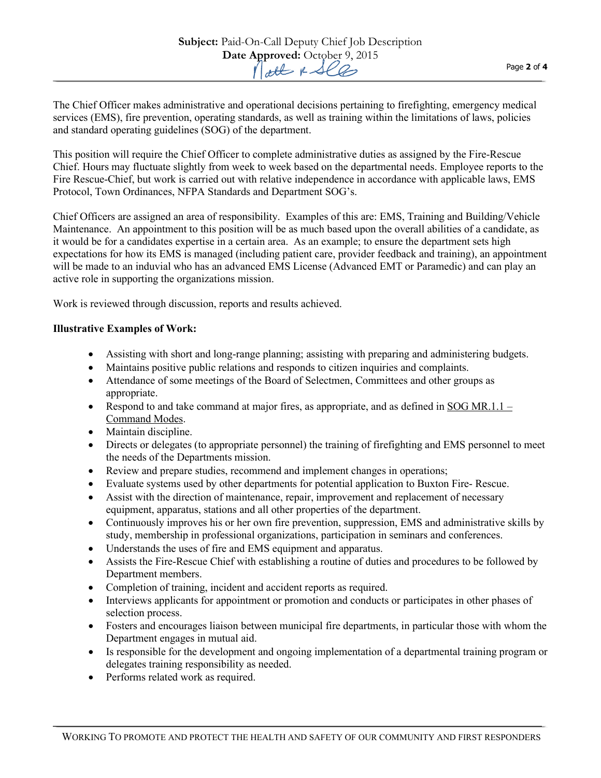The Chief Officer makes administrative and operational decisions pertaining to firefighting, emergency medical services (EMS), fire prevention, operating standards, as well as training within the limitations of laws, policies and standard operating guidelines (SOG) of the department.

This position will require the Chief Officer to complete administrative duties as assigned by the Fire-Rescue Chief. Hours may fluctuate slightly from week to week based on the departmental needs. Employee reports to the Fire Rescue-Chief, but work is carried out with relative independence in accordance with applicable laws, EMS Protocol, Town Ordinances, NFPA Standards and Department SOG's.

Chief Officers are assigned an area of responsibility. Examples of this are: EMS, Training and Building/Vehicle Maintenance. An appointment to this position will be as much based upon the overall abilities of a candidate, as it would be for a candidates expertise in a certain area. As an example; to ensure the department sets high expectations for how its EMS is managed (including patient care, provider feedback and training), an appointment will be made to an induvial who has an advanced EMS License (Advanced EMT or Paramedic) and can play an active role in supporting the organizations mission.

Work is reviewed through discussion, reports and results achieved.

## **Illustrative Examples of Work:**

- Assisting with short and long-range planning; assisting with preparing and administering budgets.
- Maintains positive public relations and responds to citizen inquiries and complaints.
- Attendance of some meetings of the Board of Selectmen, Committees and other groups as appropriate.
- Respond to and take command at major fires, as appropriate, and as defined i[n SOG MR.1.1 –](http://buxtonfr.org/wp-content/uploads/2013/10/Command-Modes.pdf) [Command Modes.](http://buxtonfr.org/wp-content/uploads/2013/10/Command-Modes.pdf)
- Maintain discipline.
- Directs or delegates (to appropriate personnel) the training of firefighting and EMS personnel to meet the needs of the Departments mission.
- Review and prepare studies, recommend and implement changes in operations;
- Evaluate systems used by other departments for potential application to Buxton Fire- Rescue.
- Assist with the direction of maintenance, repair, improvement and replacement of necessary equipment, apparatus, stations and all other properties of the department.
- Continuously improves his or her own fire prevention, suppression, EMS and administrative skills by study, membership in professional organizations, participation in seminars and conferences.
- Understands the uses of fire and EMS equipment and apparatus.
- Assists the Fire-Rescue Chief with establishing a routine of duties and procedures to be followed by Department members.
- Completion of training, incident and accident reports as required.
- Interviews applicants for appointment or promotion and conducts or participates in other phases of selection process.
- Fosters and encourages liaison between municipal fire departments, in particular those with whom the Department engages in mutual aid.
- Is responsible for the development and ongoing implementation of a departmental training program or delegates training responsibility as needed.
- Performs related work as required.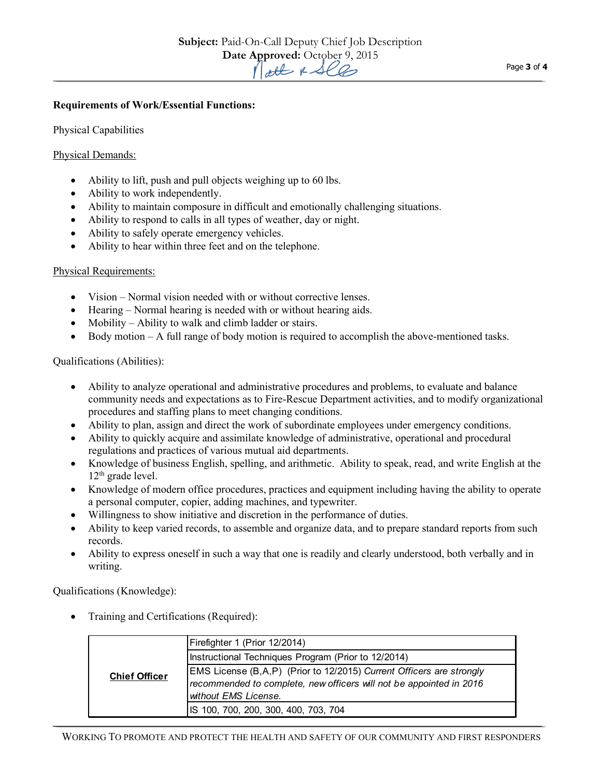### **Requirements of Work/Essential Functions:**

Physical Capabilities

#### Physical Demands:

- Ability to lift, push and pull objects weighing up to 60 lbs.
- Ability to work independently.
- Ability to maintain composure in difficult and emotionally challenging situations.
- Ability to respond to calls in all types of weather, day or night.
- Ability to safely operate emergency vehicles.
- Ability to hear within three feet and on the telephone.

#### Physical Requirements:

- Vision Normal vision needed with or without corrective lenses.
- Hearing Normal hearing is needed with or without hearing aids.
- Mobility Ability to walk and climb ladder or stairs.
- Body motion A full range of body motion is required to accomplish the above-mentioned tasks.

### Qualifications (Abilities):

- Ability to analyze operational and administrative procedures and problems, to evaluate and balance community needs and expectations as to Fire-Rescue Department activities, and to modify organizational procedures and staffing plans to meet changing conditions.
- Ability to plan, assign and direct the work of subordinate employees under emergency conditions.
- Ability to quickly acquire and assimilate knowledge of administrative, operational and procedural regulations and practices of various mutual aid departments.
- Knowledge of business English, spelling, and arithmetic. Ability to speak, read, and write English at the 12<sup>th</sup> grade level.
- Knowledge of modern office procedures, practices and equipment including having the ability to operate a personal computer, copier, adding machines, and typewriter.
- Willingness to show initiative and discretion in the performance of duties.
- Ability to keep varied records, to assemble and organize data, and to prepare standard reports from such records.
- Ability to express oneself in such a way that one is readily and clearly understood, both verbally and in writing.

Qualifications (Knowledge):

• Training and Certifications (Required):

| <b>Chief Officer</b> | Firefighter 1 (Prior 12/2014)                                        |
|----------------------|----------------------------------------------------------------------|
|                      | Instructional Techniques Program (Prior to 12/2014)                  |
|                      | EMS License (B,A,P) (Prior to 12/2015) Current Officers are strongly |
|                      | recommended to complete, new officers will not be appointed in 2016  |
|                      | without EMS License.                                                 |
|                      | IS 100, 700, 200, 300, 400, 703, 704                                 |